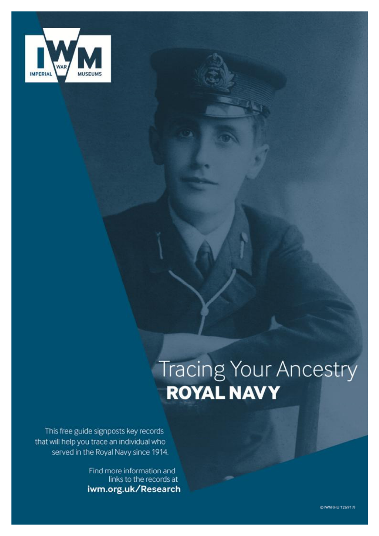

# Tracing Your Ancestry

This free guide signposts key records that will help you trace an individual who served in the Royal Navy since 1914.

> Find more information and links to the records at iwm.org.uk/Research

> > @ IWM 0HU 126917)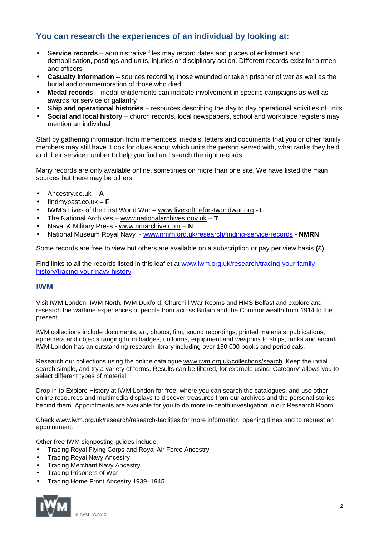# **You can research the experiences of an individual by looking at:**

- **Service records** administrative files may record dates and places of enlistment and t. demobilisation, postings and units, injuries or disciplinary action. Different records exist for airmen and officers
- **Casualty information** sources recording those wounded or taken prisoner of war as well as the burial and commemoration of those who died
- **Medal records** medal entitlements can indicate involvement in specific campaigns as well as awards for service or gallantry
- **Ship and operational histories** resources describing the day to day operational activities of units L.
- **Social and local history** church records, local newspapers, school and workplace registers may mention an individual

Start by gathering information from mementoes, medals, letters and documents that you or other family members may still have. Look for clues about which units the person served with, what ranks they held and their service number to help you find and search the right records.

Many records are only available online, sometimes on more than one site. We have listed the main sources but there may be others:

- Ancestry.co.uk **A**
- findmypast.co.uk **F**
- IWM's Lives of the First World War – [www.livesoftheforstworldwar.org](http://www.livesoftheforstworldwar.org) **L**
- The National Archives [www.nationalarchives.gov.uk](http://www.nationalarchives.gov.uk) *–* **T**
- Naval & Military Press [www.nmarchive.com](http://www.nmarchive.com) **N**
- National Museum Royal Navy - [www.nmrn.org.uk/research/finding-service-records](http://www.nmrn.org.uk/research/finding-service-records)  **NMRN**

Some records are free to view but others are available on a subscription or pay per view basis **(£)**.

Find links to all the records listed in this leaflet at [www.iwm.org.uk/research/tracing-your-family](http://www.iwm.org.uk/research/tracing-your-family)history/tracing-your-navy-history

# **IWM**

Visit IWM London, IWM North, IWM Duxford, Churchill War Rooms and HMS Belfast and explore and research the wartime experiences of people from across Britain and the Commonwealth from 1914 to the present.

IWM collections include documents, art, photos, film, sound recordings, printed materials, publications, ephemera and objects ranging from badges, uniforms, equipment and weapons to ships, tanks and aircraft. IWM London has an outstanding research library including over 150,000 books and periodicals.

Research our collections using the online catalogue [www.iwm.org.uk/collections/search](http://www.iwm.org.uk/collections/search). Keep the initial search simple, and try a variety of terms. Results can be filtered, for example using 'Category' allows you to select different types of material.

Drop-in to Explore History at IWM London for free, where you can search the catalogues, and use other online resources and multimedia displays to discover treasures from our archives and the personal stories behind them. Appointments are available for you to do more in-depth investigation in our Research Room.

Check [www.iwm.org.uk/research/research-facilities](http://www.iwm.org.uk/research/research-facilities) for more information, opening times and to request an appointment.

Other free IWM signposting guides include:

- Tracing Royal Flying Corps and Royal Air Force Ancestry
- Tracing Royal Navy Ancestry
- Tracing Merchant Navy Ancestry
- Tracing Prisoners of War
- Tracing Home Front Ancestry 1939–1945

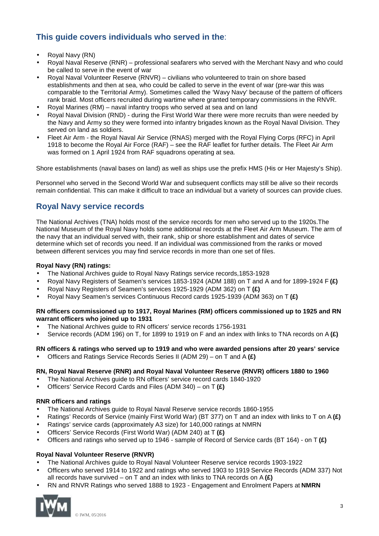# **This guide covers individuals who served in the**:

- Royal Navy (RN)
- Royal Naval Reserve (RNR) professional seafarers who served with the Merchant Navy and who could be called to serve in the event of war
- Royal Naval Volunteer Reserve (RNVR) civilians who volunteered to train on shore based establishments and then at sea, who could be called to serve in the event of war (pre-war this was comparable to the Territorial Army). Sometimes called the 'Wavy Navy' because of the pattern of officers rank braid. Most officers recruited during wartime where granted temporary commissions in the RNVR.
- Royal Marines (RM) naval infantry troops who served at sea and on land
- Royal Naval Division (RND) during the First World War there were more recruits than were needed by the Navy and Army so they were formed into infantry brigades known as the Royal Naval Division. They served on land as soldiers.
- Fleet Air Arm the Royal Naval Air Service (RNAS) merged with the Royal Flying Corps (RFC) in April 1918 to become the Royal Air Force (RAF) – see the RAF leaflet for further details. The Fleet Air Arm was formed on 1 April 1924 from RAF squadrons operating at sea.

Shore establishments (naval bases on land) as well as ships use the prefix HMS (His or Her Majesty's Ship).

Personnel who served in the Second World War and subsequent conflicts may still be alive so their records remain confidential. This can make it difficult to trace an individual but a variety of sources can provide clues.

# **Royal Navy service records**

The National Archives (TNA) holds most of the service records for men who served up to the 1920s.The National Museum of the Royal Navy holds some additional records at the Fleet Air Arm Museum. The arm of the navy that an individual served with, their rank, ship or shore establishment and dates of service determine which set of records you need. If an individual was commissioned from the ranks or moved between different services you may find service records in more than one set of files.

# **Royal Navy (RN) ratings:**

- The National Archives guide to Royal Navy Ratings service records,1853-1928
- Royal Navy Registers of Seamen's services 1853-1924 (ADM 188) on T and A and for 1899-1924 F **(£)**
- Royal Navy Registers of Seamen's services 1925-1929 (ADM 362) on T **(£)**
- Royal Navy Seamen's services Continuous Record cards 1925-1939 (ADM 363) on T **(£)**

#### **RN officers commissioned up to 1917, Royal Marines (RM) officers commissioned up to 1925 and RN warrant officers who joined up to 1931**

- The National Archives guide to RN officers' service records 1756-1931
- Service records (ADM 196) on T, for 1899 to 1919 on F and an index with links to TNA records on A **(£)**

# **RN officers & ratings who served up to 1919 and who were awarded pensions after 20 years' service**

Officers and Ratings Service Records Series II (ADM 29) – on T and A **(£)**

# **RN, Royal Naval Reserve (RNR) and Royal Naval Volunteer Reserve (RNVR) officers 1880 to 1960**

- The National Archives guide to RN officers' service record cards 1840-1920
- Officers' Service Record Cards and Files (ADM 340) on T **(£)**

# **RNR officers and ratings**

- The National Archives guide to Royal Naval Reserve service records 1860-1955
- Ratings' Records of Service (mainly First World War) (BT 377) on T and an index with links to T on A **(£)**
- Ratings' service cards (approximately A3 size) for 140,000 ratings at NMRN
- Officers' Service Records (First World War) (ADM 240) at T **(£)**
- Officers and ratings who served up to 1946 sample of Record of Service cards (BT 164) on T **(£)**

# **Royal Naval Volunteer Reserve (RNVR)**

- The National Archives guide to Royal Naval Volunteer Reserve service records 1903-1922
- Officers who served 1914 to 1922 and ratings who served 1903 to 1919 Service Records (ADM 337) Not all records have survived – on T and an index with links to TNA records on A **(£)**
- RN and RNVR Ratings who served 1888 to 1923 Engagement and Enrolment Papers at **NMRN**

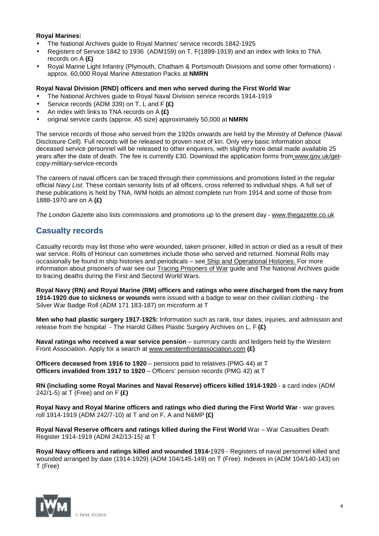#### **Royal Marines:**

- The National Archives guide to Royal Marines' service records 1842-1925
- Registers of Service 1842 to 1936 (ADM159) on T, F(1899-1919) and an index with links to TNA records on A **(£)**
- Royal Marine Light Infantry (Plymouth, Chatham & Portsmouth Divisions and some other formations) approx. 60,000 Royal Marine Attestation Packs at **NMRN**

#### **Royal Naval Division (RND) officers and men who served during the First World War**

- The National Archives guide to Royal Naval Division service records 1914-1919
- Service records (ADM 339) on T, L and F **(£)**
- An index with links to TNA records on A **(£)**
- original service cards (approx. A5 size) approximately 50,000 at **NMRN**

The service records of those who served from the 1920s onwards are held by the Ministry of Defence (Naval Disclosure Cell). Full records will be released to proven next of kin. Only very basic information about deceased service personnel will be released to other enquirers, with slightly more detail made available 25 years after the date of death. The fee is currently £30. Download the application forms from [www.gov.uk/get](http://www.gov.uk/get)copy-military-service-records

The careers of naval officers can be traced through their commissions and promotions listed in the regular official *Navy List*. These contain seniority lists of all officers, cross referred to individual ships. A full set of these publications is held by TNA, IWM holds an almost complete run from 1914 and some of those from 1888-1970 are on A **(£)**

*The London Gazette* also lists commissions and promotions up to the present day - [www.thegazette.co.uk](http://www.thegazette.co.uk)

# **Casualty records**

Casualty records may list those who were wounded, taken prisoner, killed in action or died as a result of their war service. Rolls of Honour can sometimes include those who served and returned. Nominal Rolls may occasionally be found in ship histories and periodicals – see Ship and Operational Histories. For more information about prisoners of war see our Tracing Prisoners of War guide and The National Archives guide to tracing deaths during the First and Second World Wars.

**Royal Navy (RN) and Royal Marine (RM) officers and ratings who were discharged from the navy from 1914-1920 due to sickness or wounds** were issued with a badge to wear on their civilian clothing - the Silver War Badge Roll (ADM 171 183-187) on microform at T

**Men who had plastic surgery 1917-1925:** Information such as rank, tour dates, injuries, and admission and release from the hospital - The Harold Gillies Plastic Surgery Archives on L, F **(£)**

**Naval ratings who received a war service pension** – summary cards and ledgers held by the Western Front Association. Apply for a search at [www.westernfrontassociation.com](http://www.westernfrontassociation.com) **(£)**

**Officers deceased from 1916 to 1920** – pensions paid to relatives (PMG 44) at T **Officers invalided from 1917 to 1920** – Officers' pension records (PMG 42) at T

**RN (including some Royal Marines and Naval Reserve) officers killed 1914-1920** - a card index (ADM 242/1-5) at T (Free) and on F **(£)**

**Royal Navy and Royal Marine officers and ratings who died during the First World War** - war graves roll 1914-1919 (ADM 242/7-10) at T and on F, A and N&MP **(£)**

**Royal Naval Reserve officers and ratings killed during the First World** War – War Casualties Death Register 1914-1919 (ADM 242/13-15) at T

**Royal Navy officers and ratings killed and wounded 1914-**1929 - Registers of naval personnel killed and wounded arranged by date (1914-1929) (ADM 104/145-149) on T (Free). Indexes in (ADM 104/140-143) on T (Free)

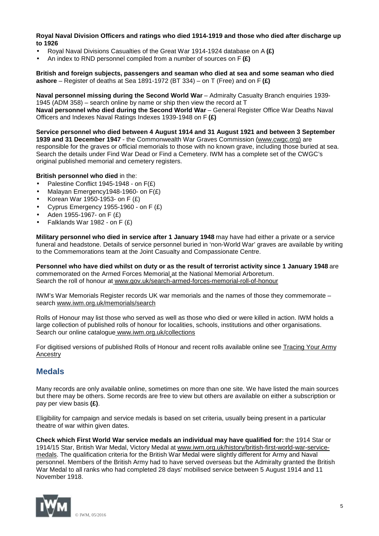**Royal Naval Division Officers and ratings who died 1914-1919 and those who died after discharge up to 1926** 

- Royal Naval Divisions Casualties of the Great War 1914-1924 database on A **(£)**
- An index to RND personnel compiled from a number of sources on F **(£)**

**British and foreign subjects, passengers and seaman who died at sea and some seaman who died ashore** – Register of deaths at Sea 1891-1972 (BT 334) – on T (Free) and on F **(£)**

**Naval personnel missing during the Second World War** – Admiralty Casualty Branch enquiries 1939- 1945 (ADM 358) – search online by name or ship then view the record at T **Naval personnel who died during the Second World War** – General Register Office War Deaths Naval Officers and Indexes Naval Ratings Indexes 1939-1948 on F **(£)**

**Service personnel who died between 4 August 1914 and 31 August 1921 and between 3 September 1939 and 31 December 1947** - the Commonwealth War Graves Commission ([www.cwgc.org\)](http://www.cwgc.org)) are responsible for the graves or official memorials to those with no known grave, including those buried at sea. Search the details under Find War Dead or Find a Cemetery. IWM has a complete set of the CWGC's original published memorial and cemetery registers.

#### **British personnel who died** in the:

- Palestine Conflict 1945-1948 on F(£)
- Malayan Emergency1948-1960- on F(£)
- Korean War 1950-1953- on F (£)
- Cyprus Emergency 1955-1960 on F (£)
- Aden 1955-1967- on F (£)
- Falklands War 1982 on F (£)

**Military personnel who died in service after 1 January 1948** may have had either a private or a service funeral and headstone. Details of service personnel buried in 'non-World War' graves are available by writing to the Commemorations team at the Joint Casualty and Compassionate Centre.

**Personnel who have died whilst on duty or as the result of terrorist activity since 1 January 1948** are commemorated on the Armed Forces Memorial at the National Memorial Arboretum. Search the roll of honour at [www.gov.uk/search-armed-forces-memorial-roll-of-honour](http://www.gov.uk/search-armed-forces-memorial-roll-of-honour)

IWM's War Memorials Register records UK war memorials and the names of those they commemorate – search [www.iwm.org.uk/memorials/search](http://www.iwm.org.uk/memorials/search)

Rolls of Honour may list those who served as well as those who died or were killed in action. IWM holds a large collection of published rolls of honour for localities, schools, institutions and other organisations. Search our online catalogue [www.iwm.org.uk/collections](http://www.iwm.org.uk/collections)

For digitised versions of published Rolls of Honour and recent rolls available online see Tracing Your Army Ancestry

# **Medals**

Many records are only available online, sometimes on more than one site. We have listed the main sources but there may be others. Some records are free to view but others are available on either a subscription or pay per view basis **(£)**.

Eligibility for campaign and service medals is based on set criteria, usually being present in a particular theatre of war within given dates.

**Check which First World War service medals an individual may have qualified for:** the 1914 Star or 1914/15 Star, British War Medal, Victory Medal at [www.iwm.org.uk/history/british-first-world-war-service](http://www.iwm.org.uk/history/british-first-world-war-service)medals. The qualification criteria for the British War Medal were slightly different for Army and Naval personnel. Members of the British Army had to have served overseas but the Admiralty granted the British War Medal to all ranks who had completed 28 days' mobilised service between 5 August 1914 and 11 November 1918.

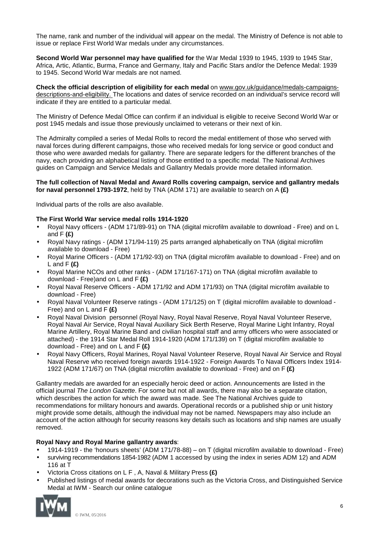The name, rank and number of the individual will appear on the medal. The Ministry of Defence is not able to issue or replace First World War medals under any circumstances.

**Second World War personnel may have qualified for** the War Medal 1939 to 1945, 1939 to 1945 Star, Africa, Artic, Atlantic, Burma, France and Germany, Italy and Pacific Stars and/or the Defence Medal: 1939 to 1945. Second World War medals are not named.

**Check the official description of eligibility for each medal** on [www.gov.uk/guidance/medals-campaigns](http://www.gov.uk/guidance/medals-campaigns)descriptions-and-eligibility. The locations and dates of service recorded on an individual's service record will indicate if they are entitled to a particular medal.

The Ministry of Defence Medal Office can confirm if an individual is eligible to receive Second World War or post 1945 medals and issue those previously unclaimed to veterans or their next of kin.

The Admiralty compiled a series of Medal Rolls to record the medal entitlement of those who served with naval forces during different campaigns, those who received medals for long service or good conduct and those who were awarded medals for gallantry. There are separate ledgers for the different branches of the navy, each providing an alphabetical listing of those entitled to a specific medal. The National Archives guides on Campaign and Service Medals and Gallantry Medals provide more detailed information.

#### **The full collection of Naval Medal and Award Rolls covering campaign, service and gallantry medals for naval personnel 1793-1972**, held by TNA (ADM 171) are available to search on A **(£)**

Individual parts of the rolls are also available.

#### **The First World War service medal rolls 1914-1920**

- Royal Navy officers (ADM 171/89-91) on TNA (digital microfilm available to download Free) and on L and F **(£)**
- Royal Navy ratings (ADM 171/94-119) 25 parts arranged alphabetically on TNA (digital microfilm available to download - Free)
- Royal Marine Officers (ADM 171/92-93) on TNA (digital microfilm available to download Free) and on L and F **(£)**
- Royal Marine NCOs and other ranks (ADM 171/167-171) on TNA (digital microfilm available to  $\blacksquare$ download - Free)and on L and F **(£)**
- Royal Naval Reserve Officers ADM 171/92 and ADM 171/93) on TNA (digital microfilm available to J. download - Free)
- Royal Naval Volunteer Reserve ratings (ADM 171/125) on T (digital microfilm available to download Free) and on L and F **(£)**
- Royal Naval Division personnel (Royal Navy, Royal Naval Reserve, Royal Naval Volunteer Reserve, Royal Naval Air Service, Royal Naval Auxiliary Sick Berth Reserve, Royal Marine Light Infantry, Royal Marine Artillery, Royal Marine Band and civilian hospital staff and army officers who were associated or attached) - the 1914 Star Medal Roll 1914-1920 (ADM 171/139) on T (digital microfilm available to download - Free) and on L and F **(£)**
- Royal Navy Officers, Royal Marines, Royal Naval Volunteer Reserve, Royal Naval Air Service and Royal Naval Reserve who received foreign awards 1914-1922 - Foreign Awards To Naval Officers Index 1914- 1922 (ADM 171/67) on TNA (digital microfilm available to download - Free) and on F **(£)**

Gallantry medals are awarded for an especially heroic deed or action. Announcements are listed in the official journal *The London Gazette*. For some but not all awards, there may also be a separate citation, which describes the action for which the award was made. See The National Archives guide to recommendations for military honours and awards. Operational records or a published ship or unit history might provide some details, although the individual may not be named. Newspapers may also include an account of the action although for security reasons key details such as locations and ship names are usually removed.

#### **Royal Navy and Royal Marine gallantry awards**:

- 1914-1919 the 'honours sheets' (ADM 171/78-88) on T (digital microfilm available to download Free)
- surviving recommendations 1854-1982 (ADM 1 accessed by using the index in series ADM 12) and ADM 116 at T
- Victoria Cross citations on L F , A, Naval & Military Press **(£)**
- Published listings of medal awards for decorations such as the Victoria Cross, and Distinguished Service Medal at IWM - Search our online catalogue

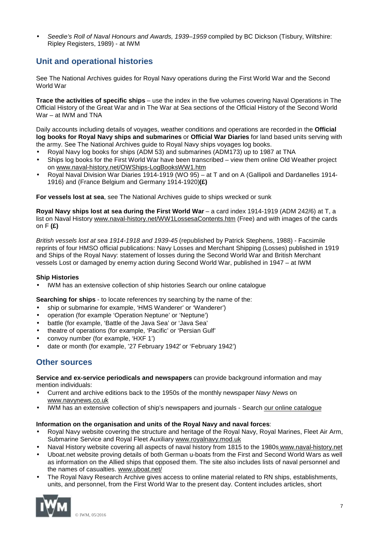*Seedie's Roll of Naval Honours and Awards, 1939–1959* compiled by BC Dickson (Tisbury, Wiltshire: Ripley Registers, 1989) - at IWM

# **Unit and operational histories**

See The National Archives guides for Royal Navy operations during the First World War and the Second World War

**Trace the activities of specific ships** – use the index in the five volumes covering Naval Operations in The Official History of the Great War and in The War at Sea sections of the Official History of the Second World War – at IWM and TNA

Daily accounts including details of voyages, weather conditions and operations are recorded in the **Official log books for Royal Navy ships and submarines** or **Official War Diaries** for land based units serving with the army. See The National Archives guide to Royal Navy ships voyages log books.

- Royal Navy log books for ships (ADM 53) and submarines (ADM173) up to 1987 at TNA
- Ships log books for the First World War have been transcribed view them online Old Weather project on [www.naval-history.net/OWShips-LogBooksWW1.htm](http://www.naval-history.net/OWShips-LogBooksWW1.htm)
- Royal Naval Division War Diaries 1914-1919 (WO 95) at T and on A (Gallipoli and Dardanelles 1914- 1916) and (France Belgium and Germany 1914-1920)**(£)**

**For vessels lost at sea**, see The National Archives guide to ships wrecked or sunk

**Royal Navy ships lost at sea during the First World War** – a card index 1914-1919 (ADM 242/6) at T, a list on Naval History [www.naval-history.net/WW1LossesaContents.htm](http://www.naval-history.net/WW1LossesaContents.htm) (Free) and with images of the cards on F **(£)**

*British vessels lost at sea 1914-1918 and 1939-45* (republished by Patrick Stephens, 1988) - Facsimile reprints of four HMSO official publications: Navy Losses and Merchant Shipping (Losses) published in 1919 and Ships of the Royal Navy: statement of losses during the Second World War and British Merchant vessels Lost or damaged by enemy action during Second World War, published in 1947 – at IWM

#### **Ship Histories**

IWM has an extensive collection of ship histories Search our online catalogue

**Searching for ships** - to locate references try searching by the name of the:

- ship or submarine for example, 'HMS Wanderer' or 'Wanderer')
- operation (for example 'Operation Neptune' or 'Neptune')
- battle (for example, 'Battle of the Java Sea' or 'Java Sea'
- theatre of operations (for example, 'Pacific' or 'Persian Gulf'
- convoy number (for example, 'HXF 1')
- date or month (for example, '27 February 1942′ or 'February 1942')

# **Other sources**

**Service and ex-service periodicals and newspapers** can provide background information and may mention individuals:

- Current and archive editions back to the 1950s of the monthly newspaper *Navy News* on [www.navynews.co.uk](http://www.navynews.co.uk)
- IWM has an extensive collection of ship's newspapers and journals Search our online catalogue

#### **Information on the organisation and units of the Royal Navy and naval forces**:

- Royal Navy website covering the structure and heritage of the Royal Navy, Royal Marines, Fleet Air Arm, Submarine Service and Royal Fleet Auxiliary [www.royalnavy.mod.uk](http://www.royalnavy.mod.uk)
- Naval History website covering all aspects of naval history from 1815 to the 1980s [www.naval-history.net](http://www.naval-history.net)
- Uboat.net website proving details of both German u-boats from the First and Second World Wars as well as information on the Allied ships that opposed them. The site also includes lists of naval personnel and the names of casualties. [www.uboat.net/](http://www.uboat.net/)
- The Royal Navy Research Archive gives access to online material related to RN ships, establishments, units, and personnel, from the First World War to the present day. Content includes articles, short